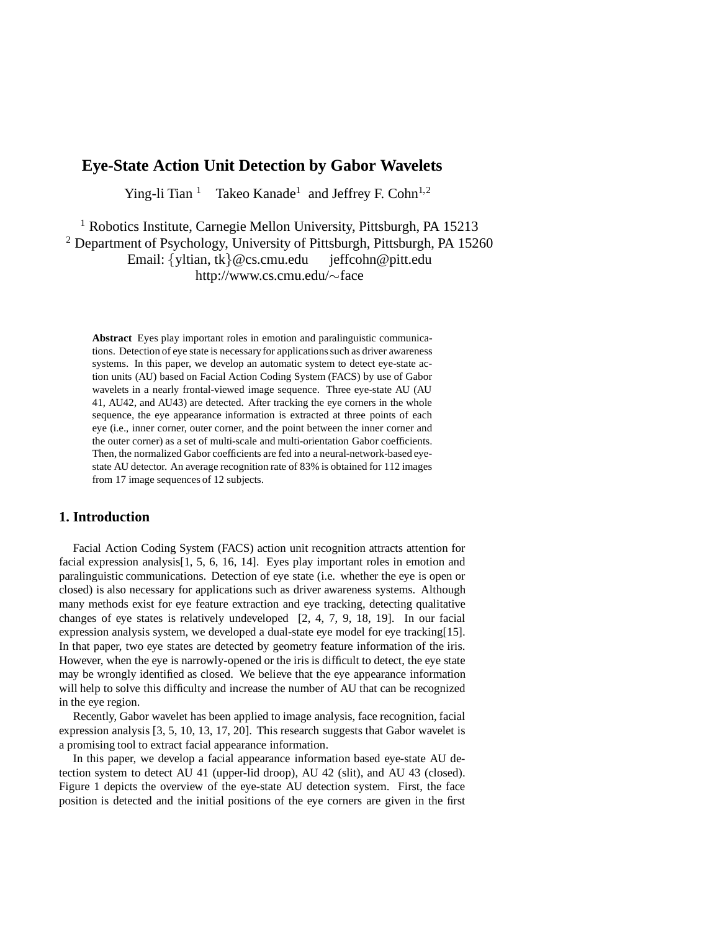# **Eye-State Action Unit Detection by Gabor Wavelets**

Ying-li Tian<sup>1</sup> Takeo Kanade<sup>1</sup> and Jeffrey F. Cohn<sup>1,2</sup>

<sup>1</sup> Robotics Institute, Carnegie Mellon University, Pittsburgh, PA 15213 <sup>2</sup> Department of Psychology, University of Pittsburgh, Pittsburgh, PA 15260 Email:  $\{$  yltian, tk $\}$  @cs.cmu.edu jeffcohn @pitt.edu http://www.cs.cmu.edu/~face

**Abstract** Eyes play important roles in emotion and paralinguistic communications. Detection of eye state is necessaryfor applications such as driver awareness systems. In this paper, we develop an automatic system to detect eye-state action units (AU) based on Facial Action Coding System (FACS) by use of Gabor wavelets in a nearly frontal-viewed image sequence. Three eye-state AU (AU 41, AU42, and AU43) are detected. After tracking the eye corners in the whole sequence, the eye appearance information is extracted at three points of each eye (i.e., inner corner, outer corner, and the point between the inner corner and the outer corner) as a set of multi-scale and multi-orientation Gabor coefficients. Then, the normalized Gabor coefficients are fed into a neural-network-based eyestate AU detector. An average recognition rate of 83% is obtained for 112 images from 17 image sequences of 12 subjects.

# **1. Introduction**

Facial Action Coding System (FACS) action unit recognition attracts attention for facial expression analysis[1, 5, 6, 16, 14]. Eyes play important roles in emotion and paralinguistic communications. Detection of eye state (i.e. whether the eye is open or closed) is also necessary for applications such as driver awareness systems. Although many methods exist for eye feature extraction and eye tracking, detecting qualitative changes of eye states is relatively undeveloped [2, 4, 7, 9, 18, 19]. In our facial expression analysis system, we developed a dual-state eye model for eye tracking[15]. In that paper, two eye states are detected by geometry feature information of the iris. However, when the eye is narrowly-opened or the iris is difficult to detect, the eye state may be wrongly identified as closed. We believe that the eye appearance information will help to solve this difficulty and increase the number of AU that can be recognized in the eye region.

Recently, Gabor wavelet has been applied to image analysis, face recognition, facial expression analysis [3, 5, 10, 13, 17, 20]. This research suggests that Gabor wavelet is a promising tool to extract facial appearance information.

In this paper, we develop a facial appearance information based eye-state AU detection system to detect AU 41 (upper-lid droop), AU 42 (slit), and AU 43 (closed). Figure 1 depicts the overview of the eye-state AU detection system. First, the face position is detected and the initial positions of the eye corners are given in the first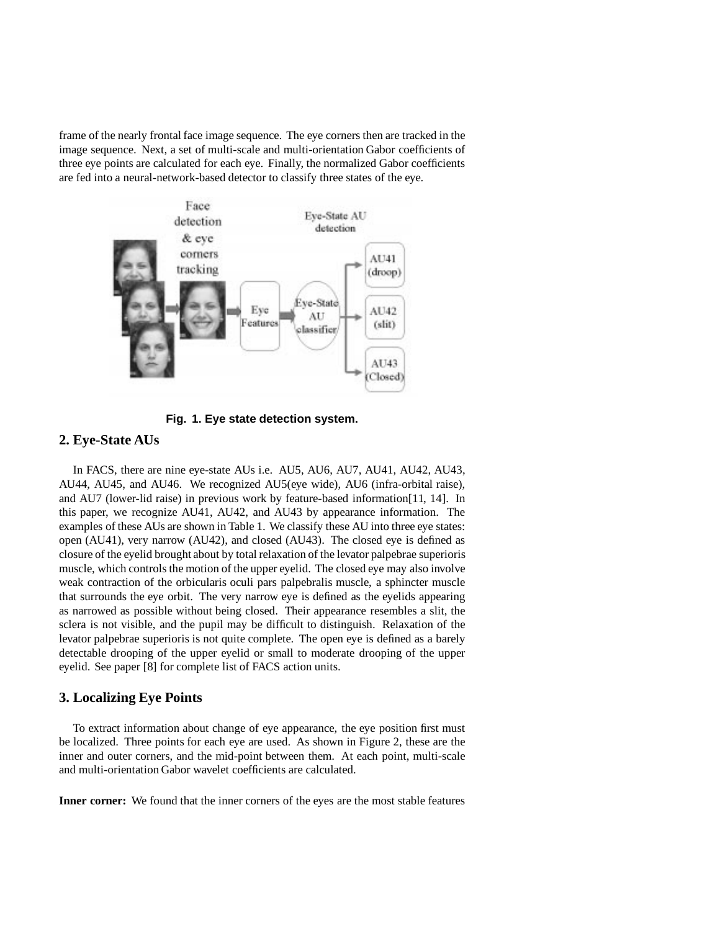frame of the nearly frontal face image sequence. The eye corners then are tracked in the image sequence. Next, a set of multi-scale and multi-orientation Gabor coefficients of three eye points are calculated for each eye. Finally, the normalized Gabor coefficients are fed into a neural-network-based detector to classify three states of the eye.



**Fig. 1. Eye state detection system.**

### **2. Eye-State AUs**

In FACS, there are nine eye-state AUs i.e. AU5, AU6, AU7, AU41, AU42, AU43, AU44, AU45, and AU46. We recognized AU5(eye wide), AU6 (infra-orbital raise), and AU7 (lower-lid raise) in previous work by feature-based information[11, 14]. In this paper, we recognize AU41, AU42, and AU43 by appearance information. The examples of these AUs are shown in Table 1. We classify these AU into three eye states: open (AU41), very narrow (AU42), and closed (AU43). The closed eye is defined as closure of the eyelid brought about by total relaxation of the levator palpebrae superioris muscle, which controls the motion of the upper eyelid. The closed eye may also involve weak contraction of the orbicularis oculi pars palpebralis muscle, a sphincter muscle that surrounds the eye orbit. The very narrow eye is defined as the eyelids appearing as narrowed as possible without being closed. Their appearance resembles a slit, the sclera is not visible, and the pupil may be difficult to distinguish. Relaxation of the levator palpebrae superioris is not quite complete. The open eye is defined as a barely detectable drooping of the upper eyelid or small to moderate drooping of the upper eyelid. See paper [8] for complete list of FACS action units.

## **3. Localizing Eye Points**

To extract information about change of eye appearance, the eye position first must be localized. Three points for each eye are used. As shown in Figure 2, these are the inner and outer corners, and the mid-point between them. At each point, multi-scale and multi-orientation Gabor wavelet coefficients are calculated.

**Inner corner:** We found that the inner corners of the eyes are the most stable features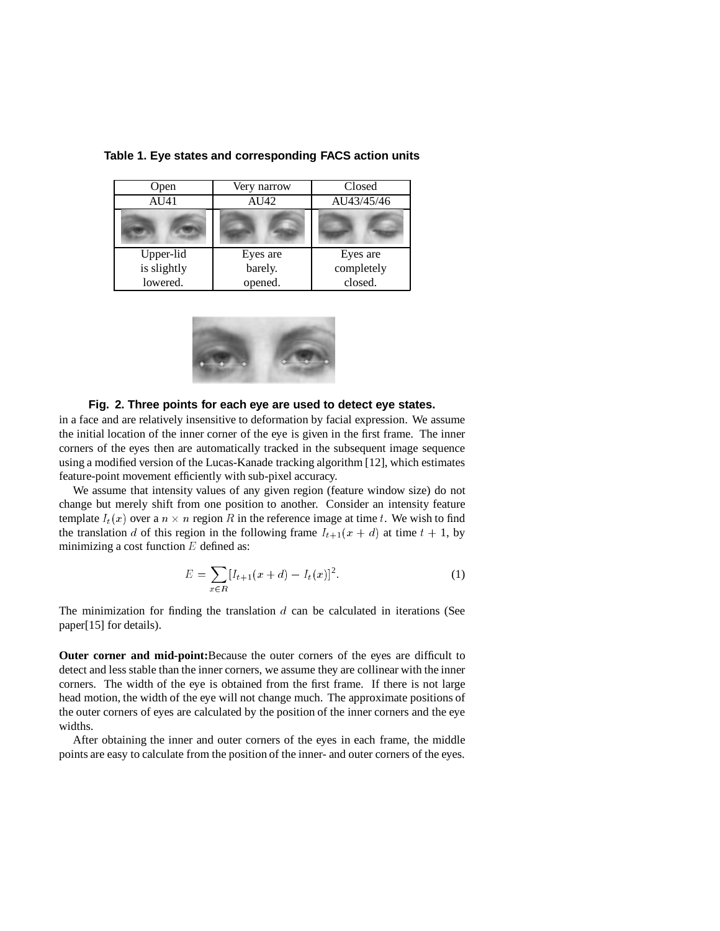| Open        | Very narrow | Closed     |  |
|-------------|-------------|------------|--|
| AU41        | AU42        | AU43/45/46 |  |
|             |             |            |  |
| Upper-lid   | Eyes are    | Eyes are   |  |
| is slightly | barely.     | completely |  |
| lowered.    | opened.     | closed.    |  |

### **Table 1. Eye states and corresponding FACS action units**



#### **Fig. 2. Three points for each eye are used to detect eye states.**

in a face and are relatively insensitive to deformation by facial expression. We assume the initial location of the inner corner of the eye is given in the first frame. The inner corners of the eyes then are automatically tracked in the subsequent image sequence using a modified version of the Lucas-Kanade tracking algorithm [12], which estimates feature-point movement efficiently with sub-pixel accuracy.

We assume that intensity values of any given region (feature window size) do not change but merely shift from one position to another. Consider an intensity feature template  $I_t(x)$  over a  $n \times n$  region R in the reference image at time t. We wish to find the translation d of this region in the following frame  $I_{t+1}(x + d)$  at time  $t + 1$ , by minimizing a cost function  $E$  defined as:

$$
E = \sum_{x \in R} [I_{t+1}(x+d) - I_t(x)]^2.
$$
 (1)

The minimization for finding the translation  $d$  can be calculated in iterations (See paper[15] for details).

**Outer corner and mid-point:**Because the outer corners of the eyes are difficult to detect and less stable than the inner corners, we assume they are collinear with the inner corners. The width of the eye is obtained from the first frame. If there is not large head motion, the width of the eye will not change much. The approximate positions of the outer corners of eyes are calculated by the position of the inner corners and the eye widths.

After obtaining the inner and outer corners of the eyes in each frame, the middle points are easy to calculate from the position of the inner- and outer corners of the eyes.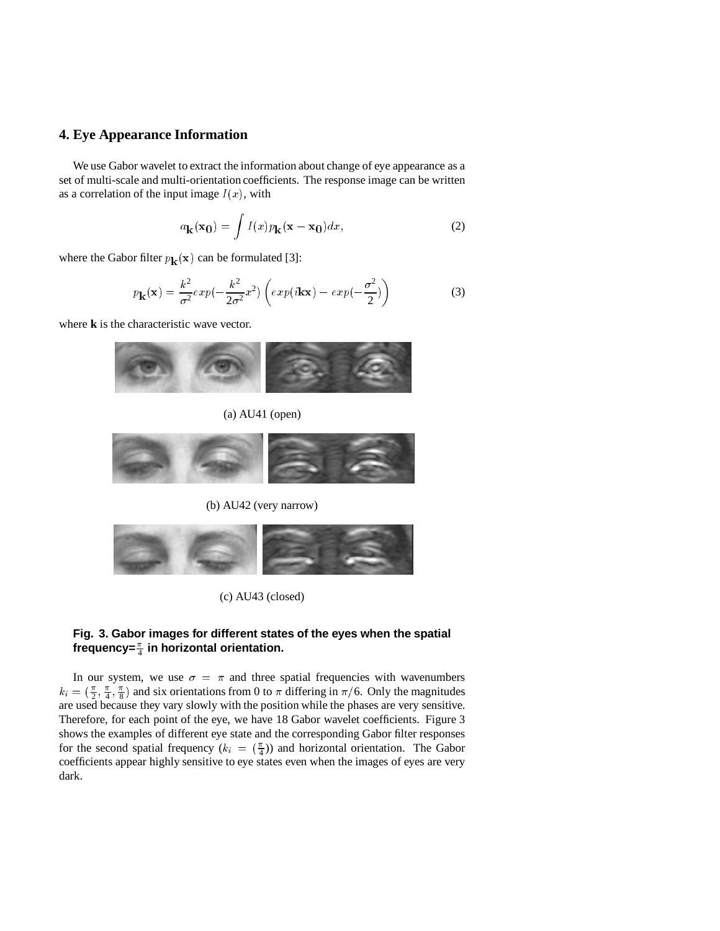## **4. Eye Appearance Information**

We use Gabor wavelet to extract the information about change of eye appearance as a set of multi-scale and multi-orientation coefficients. The response image can be written as a correlation of the input image  $I(x)$ , with

$$
a_{\mathbf{k}}(\mathbf{x_0}) = \int I(x) p_{\mathbf{k}}(\mathbf{x} - \mathbf{x_0}) dx,
$$
 (2)

where the Gabor filter  $p_k(\mathbf{x})$  can be formulated [3]:

$$
p_{\mathbf{k}}(\mathbf{x}) = \frac{k^2}{\sigma^2} exp(-\frac{k^2}{2\sigma^2} x^2) \left( exp(i\mathbf{k}\mathbf{x}) - exp(-\frac{\sigma^2}{2}) \right)
$$
 (3)

where **k** is the characteristic wave vector.



(a) AU41 (open)



(b) AU42 (very narrow)



(c) AU43 (closed)

# **Fig. 3. Gabor images for different states of the eyes when the spatial frequency=** <sup>4</sup> **in horizontal orientation.**

In our system, we use  $\sigma = \pi$  and three spatial frequencies with wavenumbers  $k_i = (\frac{\pi}{2}, \frac{\pi}{4}, \frac{\pi}{8})$  and six orientations from 0 to  $\pi$  differing in  $\pi/6$ . Only the magnitudes are used because they vary slowly with the position while the phases are very sensitive. Therefore, for each point of the eye, we have 18 Gabor wavelet coefficients. Figure 3 shows the examples of different eye state and the corresponding Gabor filter responses for the second spatial frequency  $(k_i = (\frac{\pi}{4}))$  and horizontal orientation. The Gabor coefficients appear highly sensitive to eye states even when the images of eyes are very dark.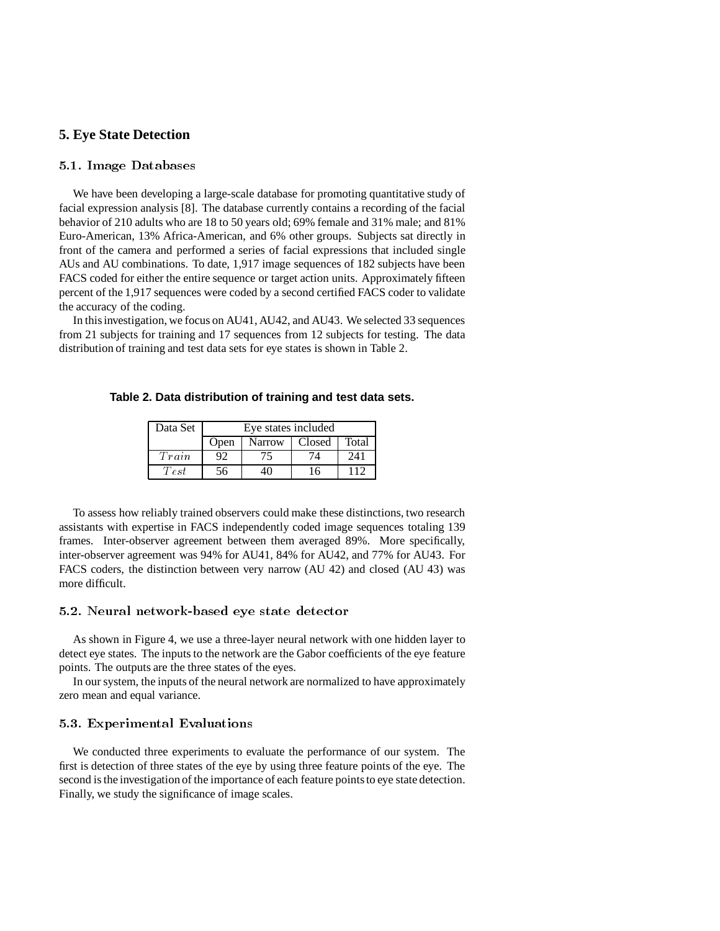## **5. Eye State Detection**

#### 5.1. Image Databases

We have been developing a large-scale database for promoting quantitative study of facial expression analysis [8]. The database currently contains a recording of the facial behavior of 210 adults who are 18 to 50 years old; 69% female and 31% male; and 81% Euro-American, 13% Africa-American, and 6% other groups. Subjects sat directly in front of the camera and performed a series of facial expressions that included single AUs and AU combinations. To date, 1,917 image sequences of 182 subjects have been FACS coded for either the entire sequence or target action units. Approximately fifteen percent of the 1,917 sequences were coded by a second certified FACS coder to validate the accuracy of the coding.

In this investigation, we focus on AU41, AU42, and AU43. We selected 33 sequences from 21 subjects for training and 17 sequences from 12 subjects for testing. The data distribution of training and test data sets for eye states is shown in Table 2.

**Table 2. Data distribution of training and test data sets.**

| Data Set | Eye states included |               |        |       |
|----------|---------------------|---------------|--------|-------|
|          | Open                | <b>Narrow</b> | Closed | Total |
| Train    |                     |               |        | 241   |
| Test     | 56                  |               | 16     | 112   |

To assess how reliably trained observers could make these distinctions, two research assistants with expertise in FACS independently coded image sequences totaling 139 frames. Inter-observer agreement between them averaged 89%. More specifically, inter-observer agreement was 94% for AU41, 84% for AU42, and 77% for AU43. For FACS coders, the distinction between very narrow (AU 42) and closed (AU 43) was more difficult.

#### 5.2. Neural network-based eye state detector

As shown in Figure 4, we use a three-layer neural network with one hidden layer to detect eye states. The inputs to the network are the Gabor coefficients of the eye feature points. The outputs are the three states of the eyes.

In our system, the inputs of the neural network are normalized to have approximately zero mean and equal variance.

### 5.3. Experimental Evaluations

We conducted three experiments to evaluate the performance of our system. The first is detection of three states of the eye by using three feature points of the eye. The second is the investigation of the importance of each feature points to eye state detection. Finally, we study the significance of image scales.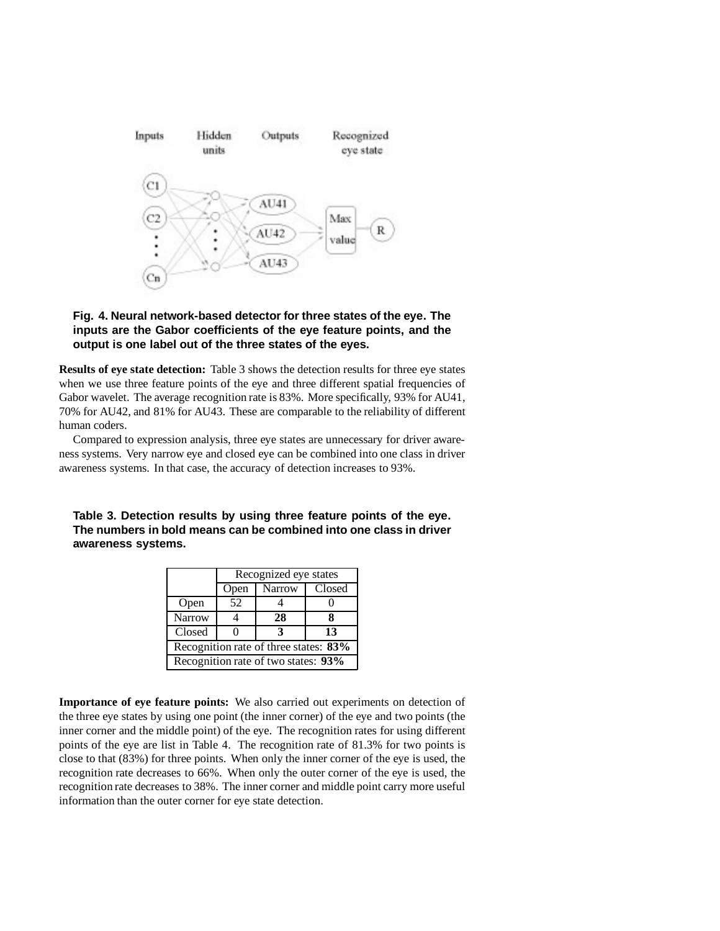

### **Fig. 4. Neural network-based detector for three states of the eye. The inputs are the Gabor coefficients of the eye feature points, and the output is one label out of the three states of the eyes.**

**Results of eye state detection:** Table 3 shows the detection results for three eye states when we use three feature points of the eye and three different spatial frequencies of Gabor wavelet. The average recognition rate is 83%. More specifically, 93% for AU41, 70% for AU42, and 81% for AU43. These are comparable to the reliability of different human coders.

Compared to expression analysis, three eye states are unnecessary for driver awareness systems. Very narrow eye and closed eye can be combined into one class in driver awareness systems. In that case, the accuracy of detection increases to 93%.

| Table 3. Detection results by using three feature points of the eye. |  |
|----------------------------------------------------------------------|--|
| The numbers in bold means can be combined into one class in driver   |  |
| awareness systems.                                                   |  |

|                                       | Recognized eye states |               |        |
|---------------------------------------|-----------------------|---------------|--------|
|                                       | Open                  | <b>Narrow</b> | Closed |
| Open                                  | 52                    |               |        |
| <b>Narrow</b>                         |                       | 28            |        |
| Closed                                |                       |               | 13     |
| Recognition rate of three states: 83% |                       |               |        |
| Recognition rate of two states: 93%   |                       |               |        |

**Importance of eye feature points:** We also carried out experiments on detection of the three eye states by using one point (the inner corner) of the eye and two points (the inner corner and the middle point) of the eye. The recognition rates for using different points of the eye are list in Table 4. The recognition rate of 81.3% for two points is close to that (83%) for three points. When only the inner corner of the eye is used, the recognition rate decreases to 66%. When only the outer corner of the eye is used, the recognition rate decreases to 38%. The inner corner and middle point carry more useful information than the outer corner for eye state detection.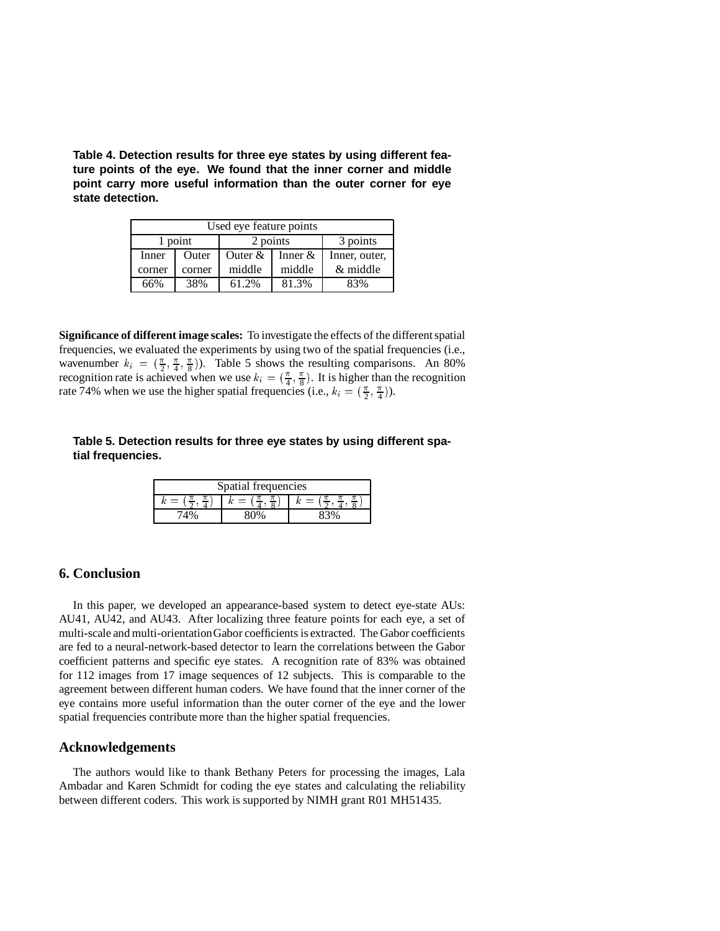**Table 4. Detection results for three eye states by using different feature points of the eye. We found that the inner corner and middle point carry more useful information than the outer corner for eye state detection.**

| Used eye feature points |         |           |            |               |
|-------------------------|---------|-----------|------------|---------------|
|                         | 1 point | 2 points  |            | 3 points      |
| Inner                   | Outer   | Outer $&$ | Inner $\&$ | Inner, outer, |
| corner                  | corner  | middle    | middle     | & middle      |
| 66%                     | 38%     | 61.2%     | 81.3%      | 83%           |

**Significance of different image scales:** To investigate the effects of the different spatial frequencies, we evaluated the experiments by using two of the spatial frequencies (i.e., wavenumber  $k_i = (\frac{\pi}{2}, \frac{\pi}{4}, \frac{\pi}{8})$ ). Table 5 shows the resulting comparisons. An 80% recognition rate is achieved when we use  $k_i = (\frac{\pi}{4}, \frac{\pi}{8})$ . It is higher than the recognition rate 74% when we use the higher spatial frequencies (i.e.,  $k_i = (\frac{\pi}{2}, \frac{\pi}{4})$ ).

## **Table 5. Detection results for three eye states by using different spatial frequencies.**

| Spatial frequencies |  |  |  |
|---------------------|--|--|--|
|                     |  |  |  |
|                     |  |  |  |

# **6. Conclusion**

In this paper, we developed an appearance-based system to detect eye-state AUs: AU41, AU42, and AU43. After localizing three feature points for each eye, a set of multi-scale and multi-orientationGabor coefficients is extracted. The Gabor coefficients are fed to a neural-network-based detector to learn the correlations between the Gabor coefficient patterns and specific eye states. A recognition rate of 83% was obtained for 112 images from 17 image sequences of 12 subjects. This is comparable to the agreement between different human coders. We have found that the inner corner of the eye contains more useful information than the outer corner of the eye and the lower spatial frequencies contribute more than the higher spatial frequencies.

### **Acknowledgements**

The authors would like to thank Bethany Peters for processing the images, Lala Ambadar and Karen Schmidt for coding the eye states and calculating the reliability between different coders. This work is supported by NIMH grant R01 MH51435.